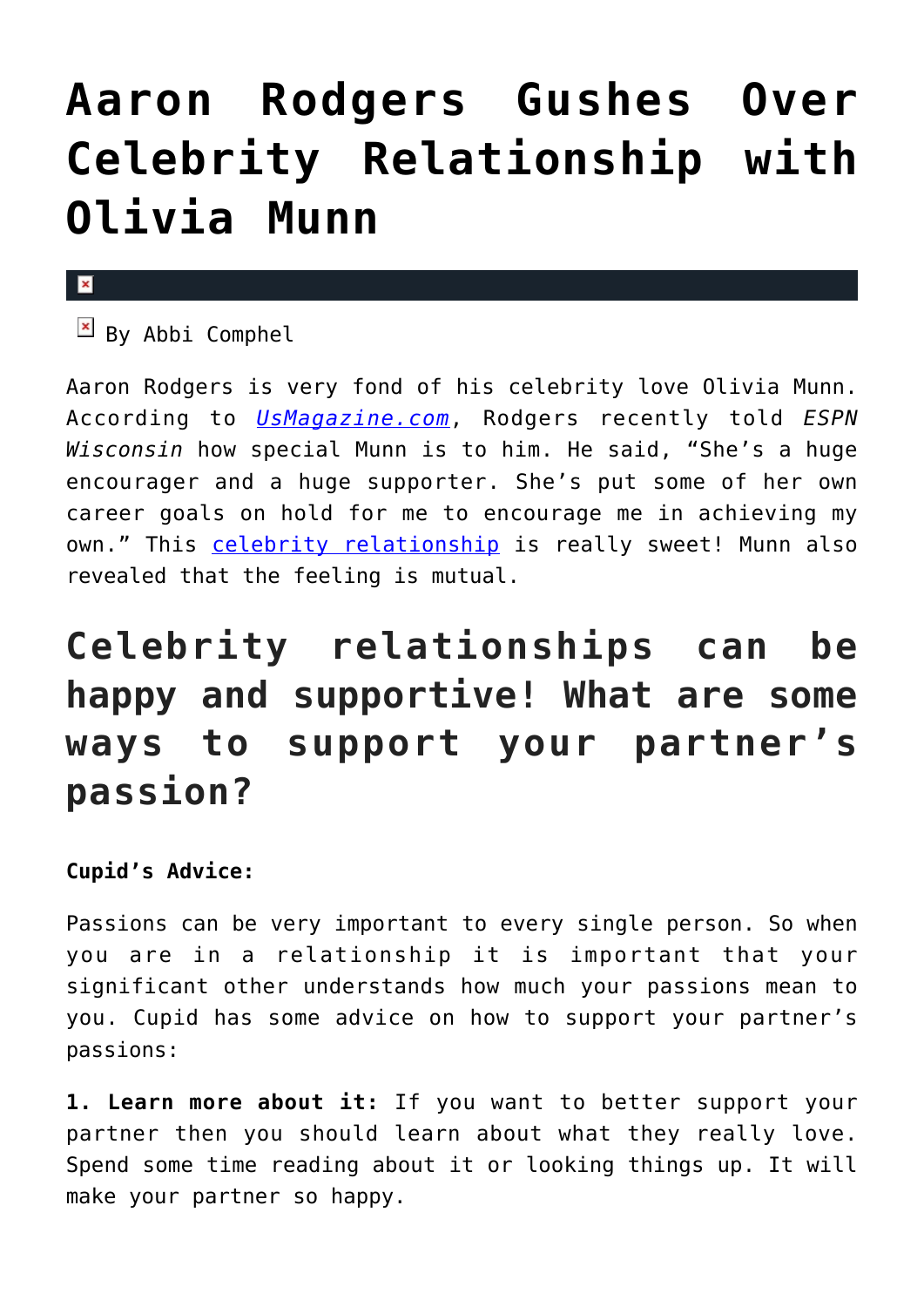## **[Aaron Rodgers Gushes Over](https://cupidspulse.com/100523/aaron-rodgers-gushes-over-celebrity-relationship-olivia-munn/) [Celebrity Relationship with](https://cupidspulse.com/100523/aaron-rodgers-gushes-over-celebrity-relationship-olivia-munn/) [Olivia Munn](https://cupidspulse.com/100523/aaron-rodgers-gushes-over-celebrity-relationship-olivia-munn/)**

## $\pmb{\times}$

 $B_y$  Abbi Comphel

Aaron Rodgers is very fond of his celebrity love Olivia Munn. According to *[UsMagazine.com](http://www.usmagazine.com/celebrity-news/news/aaron-rodgers-gushes-about-girlfriend-olivia-munn-20151310)*, Rodgers recently told *ESPN Wisconsin* how special Munn is to him. He said, "She's a huge encourager and a huge supporter. She's put some of her own career goals on hold for me to encourage me in achieving my own." This [celebrity relationship](http://cupidspulse.com/celebrity-relationships/) is really sweet! Munn also revealed that the feeling is mutual.

## **Celebrity relationships can be happy and supportive! What are some ways to support your partner's passion?**

**Cupid's Advice:**

Passions can be very important to every single person. So when you are in a relationship it is important that your significant other understands how much your passions mean to you. Cupid has some advice on how to support your partner's passions:

**1. Learn more about it:** If you want to better support your partner then you should learn about what they really love. Spend some time reading about it or looking things up. It will make your partner so happy.